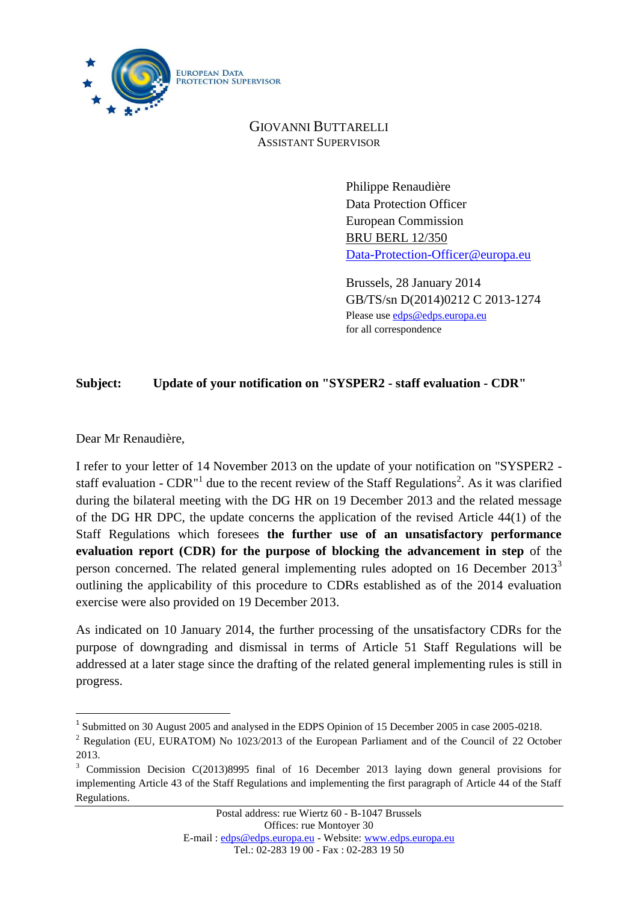

GIOVANNI BUTTARELLI ASSISTANT SUPERVISOR

> Philippe Renaudière Data Protection Officer European Commission BRU BERL 12/350 [Data-Protection-Officer@europa.eu](mailto:Data-Protection-Officer@europa.eu)

Brussels, 28 January 2014 GB/TS/sn D(2014)0212 C 2013-1274 Please use [edps@edps.europa.eu](mailto:edps@edps.europa.eu)  for all correspondence

## **Subject: Update of your notification on "SYSPER2 - staff evaluation - CDR"**

Dear Mr Renaudière,

I refer to your letter of 14 November 2013 on the update of your notification on "SYSPER2 staff evaluation - CDR<sup> $n1$ </sup> due to the recent review of the Staff Regulations<sup>2</sup>. As it was clarified during the bilateral meeting with the DG HR on 19 December 2013 and the related message of the DG HR DPC, the update concerns the application of the revised Article 44(1) of the Staff Regulations which foresees **the further use of an unsatisfactory performance evaluation report (CDR) for the purpose of blocking the advancement in step** of the person concerned. The related general implementing rules adopted on 16 December  $2013<sup>3</sup>$ outlining the applicability of this procedure to CDRs established as of the 2014 evaluation exercise were also provided on 19 December 2013.

As indicated on 10 January 2014, the further processing of the unsatisfactory CDRs for the purpose of downgrading and dismissal in terms of Article 51 Staff Regulations will be addressed at a later stage since the drafting of the related general implementing rules is still in progress.

<sup>&</sup>lt;sup>1</sup> Submitted on 30 August 2005 and analysed in the EDPS Opinion of 15 December 2005 in case 2005-0218.

<sup>&</sup>lt;sup>2</sup> Regulation (EU, EURATOM) No 1023/2013 of the European Parliament and of the Council of 22 October 2013.

<sup>&</sup>lt;sup>3</sup> Commission Decision C(2013)8995 final of 16 December 2013 laying down general provisions for implementing Article 43 of the Staff Regulations and implementing the first paragraph of Article 44 of the Staff Regulations.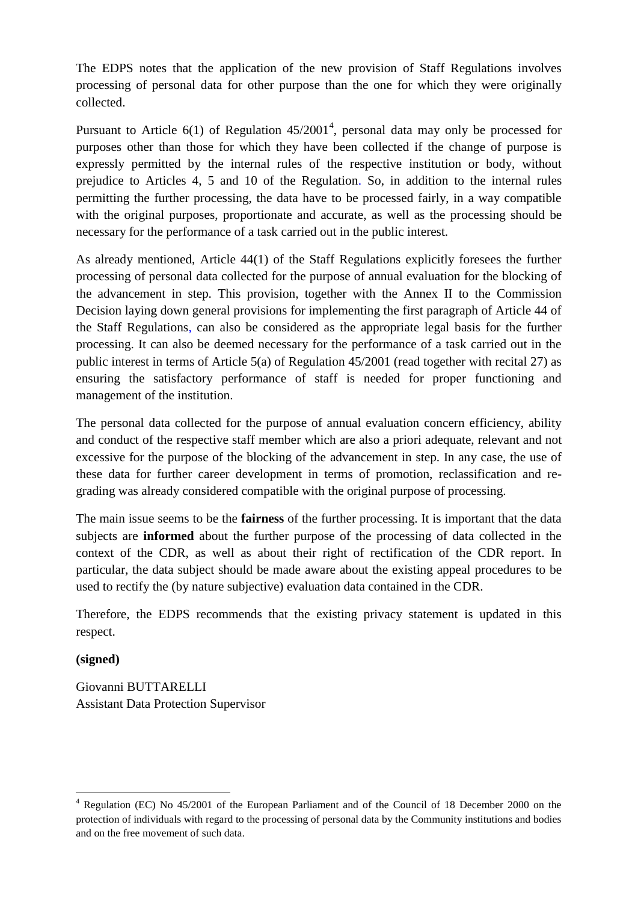The EDPS notes that the application of the new provision of Staff Regulations involves processing of personal data for other purpose than the one for which they were originally collected.

Pursuant to Article  $6(1)$  of Regulation  $45/2001^4$ , personal data may only be processed for purposes other than those for which they have been collected if the change of purpose is expressly permitted by the internal rules of the respective institution or body, without prejudice to Articles 4, 5 and 10 of the Regulation. So, in addition to the internal rules permitting the further processing, the data have to be processed fairly, in a way compatible with the original purposes, proportionate and accurate, as well as the processing should be necessary for the performance of a task carried out in the public interest.

As already mentioned, Article 44(1) of the Staff Regulations explicitly foresees the further processing of personal data collected for the purpose of annual evaluation for the blocking of the advancement in step. This provision, together with the Annex II to the Commission Decision laying down general provisions for implementing the first paragraph of Article 44 of the Staff Regulations, can also be considered as the appropriate legal basis for the further processing. It can also be deemed necessary for the performance of a task carried out in the public interest in terms of Article 5(a) of Regulation 45/2001 (read together with recital 27) as ensuring the satisfactory performance of staff is needed for proper functioning and management of the institution.

The personal data collected for the purpose of annual evaluation concern efficiency, ability and conduct of the respective staff member which are also a priori adequate, relevant and not excessive for the purpose of the blocking of the advancement in step. In any case, the use of these data for further career development in terms of promotion, reclassification and regrading was already considered compatible with the original purpose of processing.

The main issue seems to be the **fairness** of the further processing. It is important that the data subjects are **informed** about the further purpose of the processing of data collected in the context of the CDR, as well as about their right of rectification of the CDR report. In particular, the data subject should be made aware about the existing appeal procedures to be used to rectify the (by nature subjective) evaluation data contained in the CDR.

Therefore, the EDPS recommends that the existing privacy statement is updated in this respect.

## **(signed)**

 $\overline{a}$ 

Giovanni BUTTARELLI Assistant Data Protection Supervisor

<sup>4</sup> Regulation (EC) No 45/2001 of the European Parliament and of the Council of 18 December 2000 on the protection of individuals with regard to the processing of personal data by the Community institutions and bodies and on the free movement of such data.